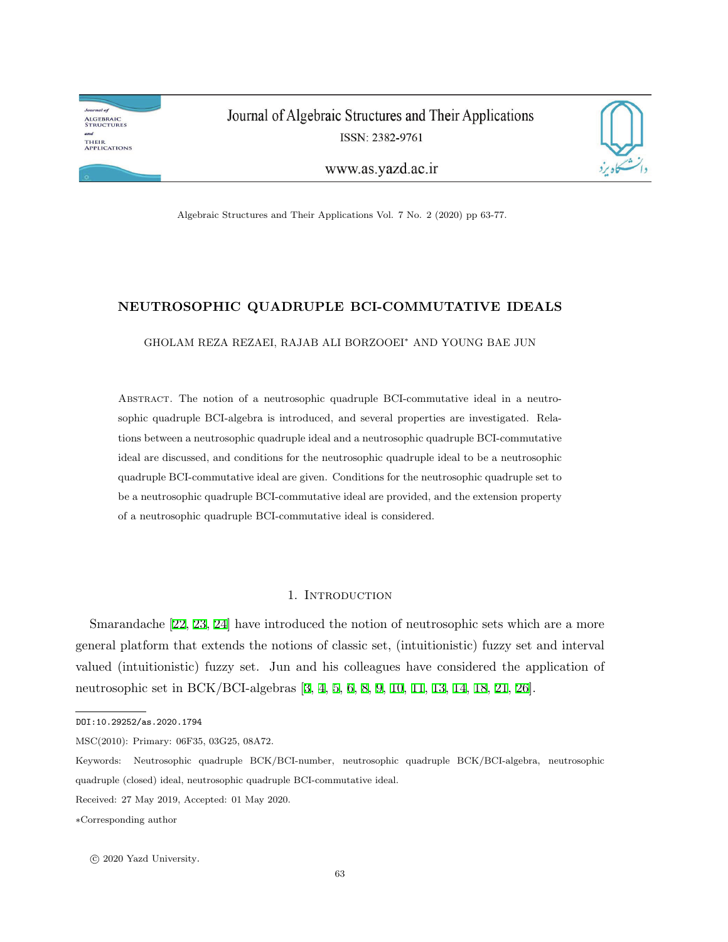**Journal** of **ALGEBRAIC<br>STRUCTURES** and THEIR<br>Applications

Journal of Algebraic Structures and Their Applications ISSN: 2382-9761



www.as.yazd.ac.ir

Algebraic Structures and Their Applications Vol. 7 No. 2 (2020) pp 63-77.

# **NEUTROSOPHIC QUADRUPLE BCI-COMMUTATIVE IDEALS**

GHOLAM REZA REZAEI, RAJAB ALI BORZOOEI*<sup>∗</sup>* AND YOUNG BAE JUN

Abstract. The notion of a neutrosophic quadruple BCI-commutative ideal in a neutrosophic quadruple BCI-algebra is introduced, and several properties are investigated. Relations between a neutrosophic quadruple ideal and a neutrosophic quadruple BCI-commutative ideal are discussed, and conditions for the neutrosophic quadruple ideal to be a neutrosophic quadruple BCI-commutative ideal are given. Conditions for the neutrosophic quadruple set to be a neutrosophic quadruple BCI-commutative ideal are provided, and the extension property of a neutrosophic quadruple BCI-commutative ideal is considered.

### 1. Introduction

Smarandache [\[22](#page-14-0), [23,](#page-14-1) [24](#page-14-2)] have introduced the notion of neutrosophic sets which are a more general platform that extends the notions of classic set, (intuitionistic) fuzzy set and interval valued (intuitionistic) fuzzy set. Jun and his colleagues have considered the application of neutrosophic set in BCK/BCI-algebras [[3](#page-13-0), [4](#page-13-1), [5,](#page-13-2) [6,](#page-13-3) [8,](#page-13-4) [9,](#page-13-5) [10](#page-13-6), [11](#page-13-7), [13,](#page-13-8) [14](#page-13-9), [18,](#page-13-10) [21](#page-14-3), [26\]](#page-14-4).

MSC(2010): Primary: 06F35, 03G25, 08A72.

DOI:10.29252/as.2020.1794

Keywords: Neutrosophic quadruple BCK/BCI-number, neutrosophic quadruple BCK/BCI-algebra, neutrosophic quadruple (closed) ideal, neutrosophic quadruple BCI-commutative ideal.

Received: 27 May 2019, Accepted: 01 May 2020.

*<sup>∗</sup>*Corresponding author

*<sup>⃝</sup>*<sup>c</sup> 2020 Yazd University.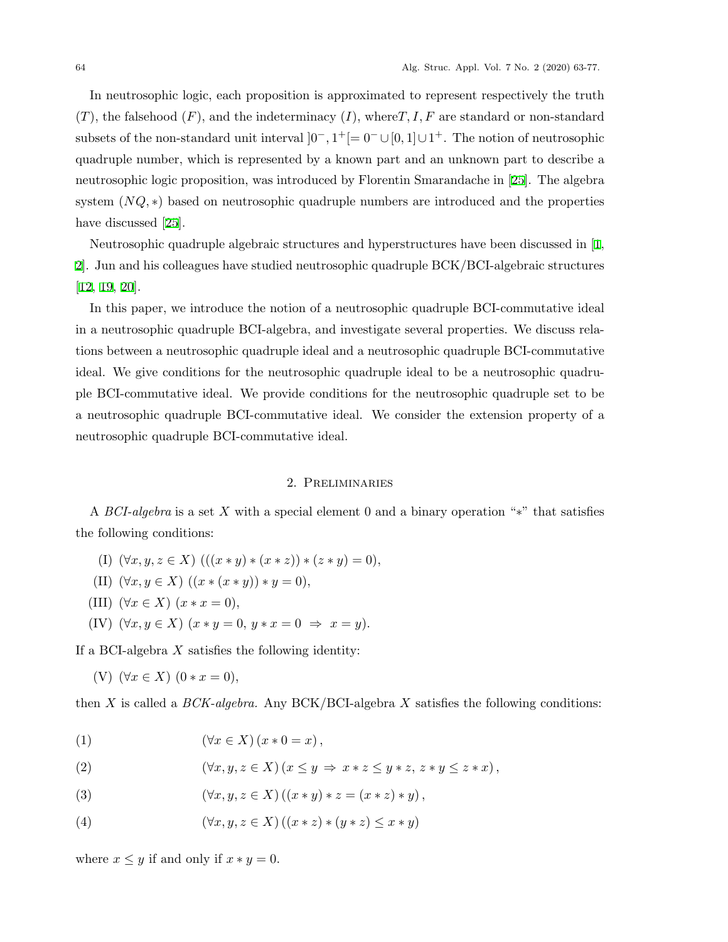In neutrosophic logic, each proposition is approximated to represent respectively the truth  $(T)$ , the falsehood  $(F)$ , and the indeterminacy  $(I)$ , where  $T, I, F$  are standard or non-standard subsets of the non-standard unit interval  $]0^-, 1^+[= 0^- \cup [0, 1] \cup 1^+$ . The notion of neutrosophic quadruple number, which is represented by a known part and an unknown part to describe a neutrosophic logic proposition, was introduced by Florentin Smarandache in [[25](#page-14-5)]. The algebra system (*NQ*,  $*$ ) based on neutrosophic quadruple numbers are introduced and the properties have discussed [\[25](#page-14-5)].

Neutrosophic quadruple algebraic structures and hyperstructures have been discussed in [[1,](#page-13-11) [2\]](#page-13-12). Jun and his colleagues have studied neutrosophic quadruple BCK/BCI-algebraic structures [[12](#page-13-13), [19](#page-13-14), [20\]](#page-14-6).

In this paper, we introduce the notion of a neutrosophic quadruple BCI-commutative ideal in a neutrosophic quadruple BCI-algebra, and investigate several properties. We discuss relations between a neutrosophic quadruple ideal and a neutrosophic quadruple BCI-commutative ideal. We give conditions for the neutrosophic quadruple ideal to be a neutrosophic quadruple BCI-commutative ideal. We provide conditions for the neutrosophic quadruple set to be a neutrosophic quadruple BCI-commutative ideal. We consider the extension property of a neutrosophic quadruple BCI-commutative ideal.

## 2. Preliminaries

A *BCI-algebra* is a set *X* with a special element 0 and a binary operation "*∗*" that satisfies the following conditions:

- (I)  $(\forall x, y, z \in X)$   $(((x * y) * (x * z)) * (z * y) = 0),$
- (II)  $(\forall x, y \in X) ((x * (x * y)) * y = 0),$
- (III)  $(\forall x \in X)$   $(x * x = 0)$ ,
- $(K)$   $(\forall x, y \in X)$   $(x * y = 0, y * x = 0 \Rightarrow x = y)$ .

If a BCI-algebra *X* satisfies the following identity:

<span id="page-1-0"></span>(V)  $(∀x ∈ X)$   $(0 * x = 0)$ *,* 

then *X* is called a *BCK-algebra.* Any BCK/BCI-algebra *X* satisfies the following conditions:

(1)  $(\forall x \in X)(x * 0 = x),$ 

(2) 
$$
(\forall x, y, z \in X) (x \le y \Rightarrow x * z \le y * z, z * y \le z * x),
$$

- (3)  $(\forall x, y, z \in X) ((x * y) * z = (x * z) * y),$
- (4)  $(\forall x, y, z \in X) ((x * z) * (y * z) \le x * y)$

where  $x \leq y$  if and only if  $x * y = 0$ .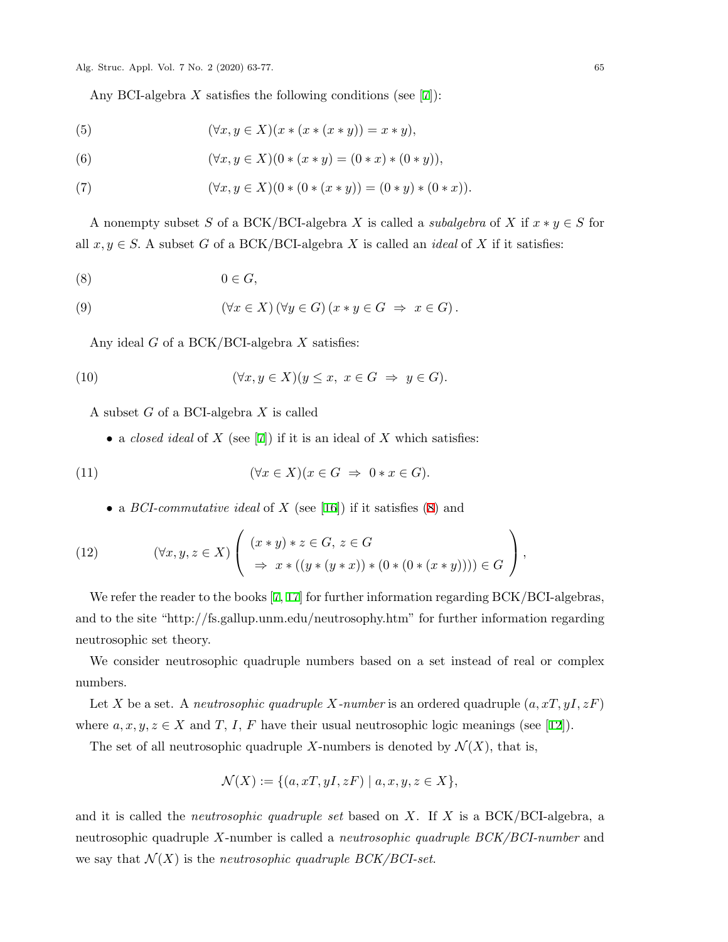Any BCI-algebra *X* satisfies the following conditions (see [[7](#page-13-15)]):

(5) 
$$
(\forall x, y \in X)(x * (x * (x * y)) = x * y),
$$

(6) 
$$
(\forall x, y \in X)(0 * (x * y) = (0 * x) * (0 * y)),
$$

(7) 
$$
(\forall x, y \in X)(0 * (0 * (x * y)) = (0 * y) * (0 * x)).
$$

A nonempty subset *S* of a BCK/BCI-algebra *X* is called a *subalgebra* of *X* if  $x * y \in S$  for all  $x, y \in S$ . A subset *G* of a BCK/BCI-algebra *X* is called an *ideal* of *X* if it satisfies:

<span id="page-2-0"></span>
$$
(8) \t\t 0 \in G,
$$

(9) 
$$
(\forall x \in X) (\forall y \in G) (x * y \in G \Rightarrow x \in G).
$$

Any ideal *G* of a BCK/BCI-algebra *X* satisfies:

<span id="page-2-1"></span>(10) 
$$
(\forall x, y \in X)(y \le x, x \in G \Rightarrow y \in G).
$$

A subset *G* of a BCI-algebra *X* is called

*•* a *closed ideal* of *X* (see [[7](#page-13-15)]) if it is an ideal of *X* which satisfies:

(11) 
$$
(\forall x \in X)(x \in G \Rightarrow 0 * x \in G).
$$

*•* a *BCI-commutative ideal* of *X* (see [[16\]](#page-13-16)) if it satisfies ([8](#page-2-0)) and

<span id="page-2-2"></span>(12) 
$$
(\forall x, y, z \in X) \left( \begin{array}{c} (x * y) * z \in G, z \in G \\ \Rightarrow x * ((y * (y * x)) * (0 * (0 * (x * y)))) \in G \end{array} \right),
$$

We refer the reader to the books [[7](#page-13-15), [17\]](#page-13-17) for further information regarding BCK/BCI-algebras, and to the site "http://fs.gallup.unm.edu/neutrosophy.htm" for further information regarding neutrosophic set theory.

We consider neutrosophic quadruple numbers based on a set instead of real or complex numbers.

Let *X* be a set. A *neutrosophic quadruple X-number* is an ordered quadruple (*a, xT, yI, zF*) where  $a, x, y, z \in X$  and *T*, *I*, *F* have their usual neutrosophic logic meanings (see [[12\]](#page-13-13)).

The set of all neutrosophic quadruple X-numbers is denoted by  $\mathcal{N}(X)$ , that is,

$$
\mathcal{N}(X) := \{ (a, xT, yI, zF) \mid a, x, y, z \in X \},
$$

and it is called the *neutrosophic quadruple set* based on *X*. If *X* is a BCK/BCI-algebra, a neutrosophic quadruple *X*-number is called a *neutrosophic quadruple BCK/BCI-number* and we say that  $\mathcal{N}(X)$  is the *neutrosophic quadruple BCK/BCI-set*.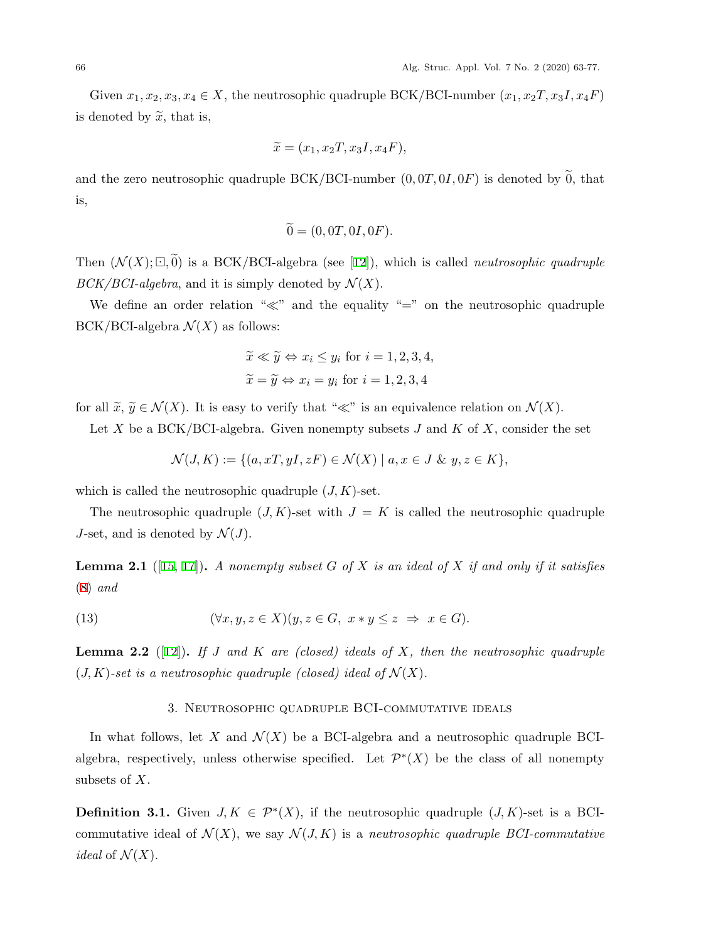Given  $x_1, x_2, x_3, x_4 \in X$ , the neutrosophic quadruple BCK/BCI-number  $(x_1, x_2, x_3, x_4, F)$ is denoted by  $\widetilde{x}$ , that is,

$$
\widetilde{x} = (x_1, x_2T, x_3I, x_4F),
$$

and the zero neutrosophic quadruple  $BCK/BCI$ -number  $(0, 0T, 0I, 0F)$  is denoted by 0, that is,

$$
\widetilde{0} = (0, 0T, 0I, 0F).
$$

Then  $(\mathcal{N}(X);\Box,\widetilde{0})$  is a BCK/BCI-algebra (see [\[12](#page-13-13)]), which is called *neutrosophic quadruple BCK/BCI-algebra*, and it is simply denoted by  $\mathcal{N}(X)$ .

We define an order relation "*≪*" and the equality "=" on the neutrosophic quadruple BCK/BCI-algebra  $\mathcal{N}(X)$  as follows:

$$
\widetilde{x} \ll \widetilde{y} \Leftrightarrow x_i \leq y_i \text{ for } i = 1, 2, 3, 4,
$$
  
\n $\widetilde{x} = \widetilde{y} \Leftrightarrow x_i = y_i \text{ for } i = 1, 2, 3, 4$ 

for all  $\tilde{x}, \tilde{y} \in \mathcal{N}(X)$ . It is easy to verify that " $\ll$ " is an equivalence relation on  $\mathcal{N}(X)$ .

Let *X* be a BCK/BCI-algebra. Given nonempty subsets *J* and *K* of *X*, consider the set

$$
\mathcal{N}(J,K) := \{ (a, xT, yI, zF) \in \mathcal{N}(X) \mid a, x \in J \& y, z \in K \},\
$$

which is called the neutrosophic quadruple  $(J, K)$ -set.

The neutrosophic quadruple  $(J, K)$ -set with  $J = K$  is called the neutrosophic quadruple *J*-set, and is denoted by  $\mathcal{N}(J)$ .

<span id="page-3-0"></span>**Lemma 2.1** ([[15,](#page-13-18) [17](#page-13-17)])**.** *A nonempty subset G of X is an ideal of X if and only if it satisfies* ([8](#page-2-0)) *and*

(13) 
$$
(\forall x, y, z \in X)(y, z \in G, x * y \leq z \implies x \in G).
$$

<span id="page-3-1"></span>**Lemma 2.2** ([\[12](#page-13-13)])**.** *If J and K are (closed) ideals of X, then the neutrosophic quadruple*  $(J, K)$ -set is a neutrosophic quadruple (closed) ideal of  $\mathcal{N}(X)$ .

### 3. Neutrosophic quadruple BCI-commutative ideals

In what follows, let *X* and  $\mathcal{N}(X)$  be a BCI-algebra and a neutrosophic quadruple BCIalgebra, respectively, unless otherwise specified. Let  $\mathcal{P}^*(X)$  be the class of all nonempty subsets of *X*.

**Definition 3.1.** Given  $J, K \in \mathcal{P}^*(X)$ , if the neutrosophic quadruple  $(J, K)$ -set is a BCIcommutative ideal of  $\mathcal{N}(X)$ , we say  $\mathcal{N}(J, K)$  is a *neutrosophic quadruple BCI-commutative ideal* of  $\mathcal{N}(X)$ .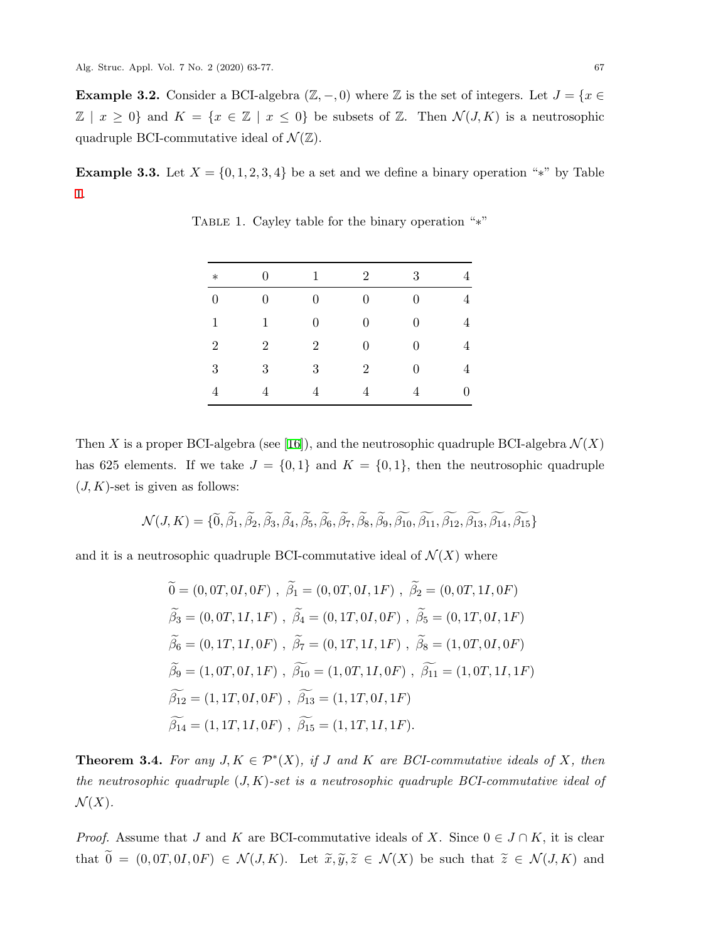**Example 3.2.** Consider a BCI-algebra  $(\mathbb{Z}, -0)$  where  $\mathbb{Z}$  is the set of integers. Let  $J = \{x \in \mathbb{Z} : |f(x)| \leq 1\}$  $\mathbb{Z}$  |  $x \geq 0$ } and  $K = \{x \in \mathbb{Z} \mid x \leq 0\}$  be subsets of  $\mathbb{Z}$ . Then  $\mathcal{N}(J,K)$  is a neutrosophic quadruple BCI-commutative ideal of  $\mathcal{N}(\mathbb{Z})$ .

**Example 3.3.** Let  $X = \{0, 1, 2, 3, 4\}$  be a set and we define a binary operation "\*" by Table [1.](#page-4-0)

| $\ast$           | 0              | 1                | $\overline{2}$ | 3                | 4 |
|------------------|----------------|------------------|----------------|------------------|---|
| $\boldsymbol{0}$ | $\overline{0}$ | $\boldsymbol{0}$ | 0              | 0                | 4 |
| 1                | 1              | $\overline{0}$   | 0              | $\overline{0}$   | 4 |
| $\overline{2}$   | $\overline{2}$ | $\overline{2}$   | 0              | 0                | 4 |
| $\sqrt{3}$       | 3              | 3                | $\overline{2}$ | $\boldsymbol{0}$ | 4 |
| 4                | 4              | 4                | 4              | 4                | D |

<span id="page-4-0"></span>Table 1. Cayley table for the binary operation "*∗*"

Then *X* is a proper BCI-algebra (see [[16\]](#page-13-16)), and the neutrosophic quadruple BCI-algebra  $\mathcal{N}(X)$ has 625 elements. If we take  $J = \{0, 1\}$  and  $K = \{0, 1\}$ , then the neutrosophic quadruple  $(J, K)$ -set is given as follows:

$$
\mathcal{N}(J,K) = \{ \widetilde{0}, \widetilde{\beta}_1, \widetilde{\beta}_2, \widetilde{\beta}_3, \widetilde{\beta}_4, \widetilde{\beta}_5, \widetilde{\beta}_6, \widetilde{\beta}_7, \widetilde{\beta}_8, \widetilde{\beta}_9, \widetilde{\beta}_{10}, \widetilde{\beta}_{11}, \widetilde{\beta}_{12}, \widetilde{\beta}_{13}, \widetilde{\beta}_{14}, \widetilde{\beta}_{15} \}
$$

and it is a neutrosophic quadruple BCI-commutative ideal of  $\mathcal{N}(X)$  where

$$
\begin{aligned}\n\widetilde{0} &= (0, 0T, 0I, 0F), \ \widetilde{\beta}_1 = (0, 0T, 0I, 1F), \ \widetilde{\beta}_2 = (0, 0T, 1I, 0F) \\
\widetilde{\beta}_3 &= (0, 0T, 1I, 1F), \ \widetilde{\beta}_4 = (0, 1T, 0I, 0F), \ \widetilde{\beta}_5 = (0, 1T, 0I, 1F) \\
\widetilde{\beta}_6 &= (0, 1T, 1I, 0F), \ \widetilde{\beta}_7 = (0, 1T, 1I, 1F), \ \widetilde{\beta}_8 = (1, 0T, 0I, 0F) \\
\widetilde{\beta}_9 &= (1, 0T, 0I, 1F), \ \widetilde{\beta}_{10} = (1, 0T, 1I, 0F), \ \widetilde{\beta}_{11} = (1, 0T, 1I, 1F) \\
\widetilde{\beta}_{12} &= (1, 1T, 0I, 0F), \ \widetilde{\beta}_{13} = (1, 1T, 0I, 1F) \\
\widetilde{\beta}_{14} &= (1, 1T, 1I, 0F), \ \widetilde{\beta}_{15} = (1, 1T, 1I, 1F).\n\end{aligned}
$$

<span id="page-4-1"></span>**Theorem 3.4.** For any  $J, K \in \mathcal{P}^*(X)$ , if *J* and *K* are *BCI*-commutative ideals of *X*, then *the neutrosophic quadruple* (*J, K*)*-set is a neutrosophic quadruple BCI-commutative ideal of*  $\mathcal{N}(X)$ .

*Proof.* Assume that *J* and *K* are BCI-commutative ideals of *X*. Since  $0 \in J \cap K$ , it is clear that  $\tilde{0} = (0,0T,0I,0F) \in \mathcal{N}(J,K)$ . Let  $\tilde{x}, \tilde{y}, \tilde{z} \in \mathcal{N}(X)$  be such that  $\tilde{z} \in \mathcal{N}(J,K)$  and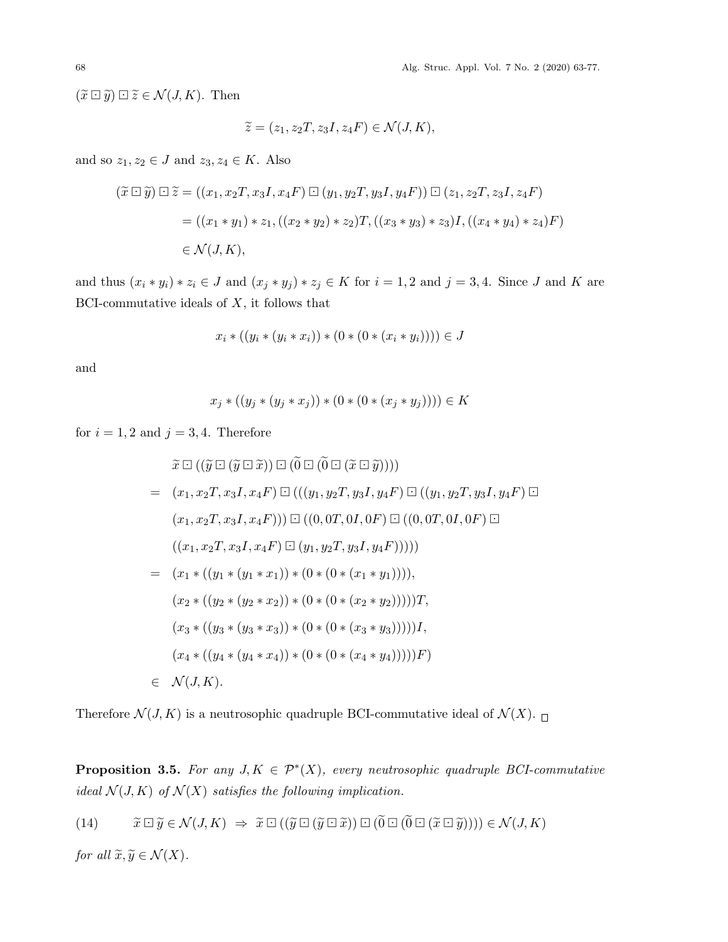68 Alg. Struc. Appl. Vol. 7 No. 2 (2020) 63-77.

 $(\widetilde{x} \boxdot \widetilde{y}) \boxdot \widetilde{z} \in \mathcal{N}(J,K)$ . Then

$$
\widetilde{z} = (z_1, z_2T, z_3I, z_4F) \in \mathcal{N}(J, K),
$$

and so  $z_1, z_2 \in J$  and  $z_3, z_4 \in K$ . Also

$$
(\tilde{x} \boxdot \tilde{y}) \boxdot \tilde{z} = ((x_1, x_2T, x_3I, x_4F) \boxdot (y_1, y_2T, y_3I, y_4F)) \boxdot (z_1, z_2T, z_3I, z_4F)
$$
  
=  $((x_1 * y_1) * z_1, ((x_2 * y_2) * z_2)T, ((x_3 * y_3) * z_3)I, ((x_4 * y_4) * z_4)F)$   
 $\in \mathcal{N}(J, K),$ 

and thus  $(x_i * y_i) * z_i \in J$  and  $(x_j * y_j) * z_j \in K$  for  $i = 1, 2$  and  $j = 3, 4$ . Since J and K are BCI-commutative ideals of *X*, it follows that

$$
x_i * ((y_i * (y_i * x_i)) * (0 * (0 * (x_i * y_i)))) \in J
$$

and

$$
x_j * ((y_j * (y_j * x_j)) * (0 * (0 * (x_j * y_j)))) \in K
$$

for  $i = 1, 2$  and  $j = 3, 4$ . Therefore

$$
\tilde{x} \Box ((\tilde{y} \Box (\tilde{y} \Box \tilde{x})) \Box (0 \Box (0 \Box (\tilde{x} \Box \tilde{y}))))
$$
\n
$$
= (x_1, x_2T, x_3I, x_4F) \Box (((y_1, y_2T, y_3I, y_4F) \Box ((y_1, y_2T, y_3I, y_4F) \Box
$$
\n
$$
(x_1, x_2T, x_3I, x_4F))) \Box ((0, 0T, 0I, 0F) \Box ((0, 0T, 0I, 0F) \Box
$$
\n
$$
((x_1, x_2T, x_3I, x_4F) \Box (y_1, y_2T, y_3I, y_4F))))
$$
\n
$$
= (x_1 * ((y_1 * (y_1 * x_1)) * (0 * (0 * (x_1 * y_1))))
$$
\n
$$
(x_2 * ((y_2 * (y_2 * x_2)) * (0 * (0 * (x_2 * y_2)))))
$$
\n
$$
(x_3 * ((y_3 * (y_3 * x_3)) * (0 * (0 * (x_3 * y_3))))]
$$
\n
$$
(x_4 * ((y_4 * (y_4 * x_4)) * (0 * (0 * (x_4 * y_4)))))
$$
\n
$$
= \mathcal{N}(J, K).
$$

Therefore  $\mathcal{N}(J, K)$  is a neutrosophic quadruple BCI-commutative ideal of  $\mathcal{N}(X)$ .

<span id="page-5-1"></span>**Proposition 3.5.** For any  $J, K \in \mathcal{P}^*(X)$ , every neutrosophic quadruple BCI-commutative *ideal*  $\mathcal{N}(J,K)$  *of*  $\mathcal{N}(X)$  *satisfies the following implication.* 

<span id="page-5-0"></span>(14) 
$$
\widetilde{x} \boxdot \widetilde{y} \in \mathcal{N}(J,K) \implies \widetilde{x} \boxdot ((\widetilde{y} \boxdot (\widetilde{y} \boxdot \widetilde{x})) \boxdot ((\widetilde{0} \boxdot ((\widetilde{x} \boxdot \widetilde{y})))) \in \mathcal{N}(J,K)
$$

*for all*  $\widetilde{x}, \widetilde{y} \in \mathcal{N}(X)$ *.*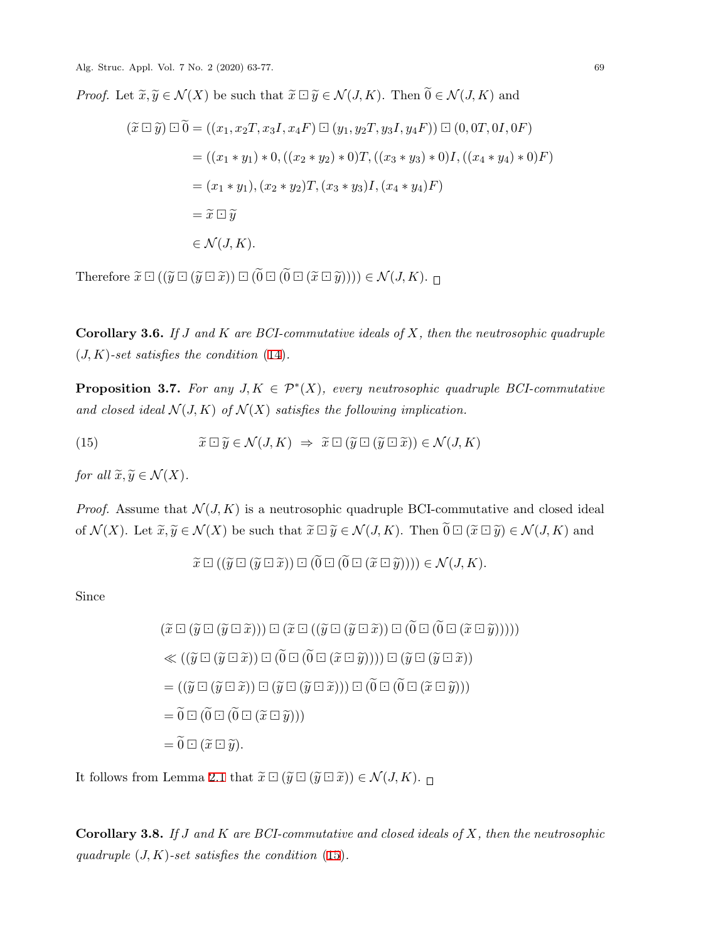Alg. Struc. Appl. Vol. 7 No. 2 (2020) 63-77. 69

*Proof.* Let  $\widetilde{x}, \widetilde{y} \in \mathcal{N}(X)$  be such that  $\widetilde{x} \Box \widetilde{y} \in \mathcal{N}(J, K)$ . Then  $\widetilde{0} \in \mathcal{N}(J, K)$  and

$$
(\tilde{x} \boxdot \tilde{y}) \boxdot \tilde{0} = ((x_1, x_2T, x_3I, x_4F) \boxdot (y_1, y_2T, y_3I, y_4F)) \boxdot (0, 0T, 0I, 0F)
$$
  
= ((x<sub>1</sub> \* y<sub>1</sub>) \* 0, ((x<sub>2</sub> \* y<sub>2</sub>) \* 0)T, ((x<sub>3</sub> \* y<sub>3</sub>) \* 0)I, ((x<sub>4</sub> \* y<sub>4</sub>) \* 0)F)  
= (x<sub>1</sub> \* y<sub>1</sub>), (x<sub>2</sub> \* y<sub>2</sub>)T, (x<sub>3</sub> \* y<sub>3</sub>)I, (x<sub>4</sub> \* y<sub>4</sub>)F)  
= \tilde{x} \boxdot \tilde{y}  
 $\in \mathcal{N}(J, K).$ 

Therefore  $\widetilde{x} \boxdot ((\widetilde{y} \boxdot (\widetilde{y} \boxdot \widetilde{x})) \boxdot ((\widetilde{0} \boxdot ((\widetilde{x} \boxdot \widetilde{y})))) \in \mathcal{N}(J,K)$ .

**Corollary 3.6.** *If J and K are BCI-commutative ideals of X, then the neutrosophic quadruple* (*J, K*)*-set satisfies the condition* ([14](#page-5-0))*.*

**Proposition 3.7.** For any  $J, K \in \mathcal{P}^*(X)$ , every neutrosophic quadruple BCI-commutative and closed ideal  $\mathcal{N}(J,K)$  of  $\mathcal{N}(X)$  satisfies the following implication.

<span id="page-6-0"></span>(15) 
$$
\widetilde{x} \boxdot \widetilde{y} \in \mathcal{N}(J,K) \implies \widetilde{x} \boxdot (\widetilde{y} \boxdot (\widetilde{y} \boxdot \widetilde{x})) \in \mathcal{N}(J,K)
$$

*for all*  $\widetilde{x}, \widetilde{y} \in \mathcal{N}(X)$ *.* 

*Proof.* Assume that  $\mathcal{N}(J, K)$  is a neutrosophic quadruple BCI-commutative and closed ideal of  $\mathcal{N}(X)$ . Let  $\widetilde{x}, \widetilde{y} \in \mathcal{N}(X)$  be such that  $\widetilde{x} \boxdot \widetilde{y} \in \mathcal{N}(J,K)$ . Then  $\widetilde{0} \boxdot (\widetilde{x} \boxdot \widetilde{y}) \in \mathcal{N}(J,K)$  and

$$
\widetilde{x} \boxdot ((\widetilde{y} \boxdot (\widetilde{y} \boxdot \widetilde{x})) \boxdot ((0 \boxdot ((\widetilde{x} \boxdot \widetilde{y})))) \in \mathcal{N}(J, K).
$$

Since

$$
(\tilde{x} \boxdot (\tilde{y} \boxdot (\tilde{y} \boxdot \tilde{x}))) \boxdot (\tilde{x} \boxdot ((\tilde{y} \boxdot (\tilde{y} \boxdot \tilde{x})) \boxdot (\tilde{0} \boxdot (\tilde{0} \boxdot (\tilde{x} \boxdot \tilde{y}))))))
$$
  
\n
$$
\ll ((\tilde{y} \boxdot (\tilde{y} \boxdot \tilde{x})) \boxdot (\tilde{0} \boxdot (\tilde{0} \boxdot (\tilde{x} \boxdot \tilde{y})))) \boxdot (\tilde{0} \boxdot (\tilde{0} \boxdot (\tilde{x} \boxdot \tilde{y}))))
$$
  
\n
$$
= ((\tilde{y} \boxdot (\tilde{y} \boxdot \tilde{x})) \boxdot (\tilde{0} \boxdot (\tilde{0} \boxdot (\tilde{x} \boxdot \tilde{y})))) \boxdot (\tilde{y} \boxdot (\tilde{y} \boxdot \tilde{x}))
$$
  
\n
$$
= ((\tilde{y} \boxdot (\tilde{y} \boxdot \tilde{x})) \boxdot (\tilde{y} \boxdot (\tilde{y} \boxdot \tilde{x}))) \boxdot (\tilde{0} \boxdot (\tilde{0} \boxdot (\tilde{x} \boxdot \tilde{y})))
$$
  
\n
$$
= \tilde{0} \boxdot (\tilde{0} \boxdot (\tilde{0} \boxdot (\tilde{x} \boxdot \tilde{y})))
$$
  
\n
$$
= \tilde{0} \boxdot (\tilde{x} \boxdot \tilde{y}).
$$

It follows from Lemma [2.1](#page-3-0) that  $\widetilde{x} \boxdot (\widetilde{y} \boxdot (\widetilde{y} \boxdot \widetilde{x})) \in \mathcal{N}(J,K)$ .

**Corollary 3.8.** *If J and K are BCI-commutative and closed ideals of X, then the neutrosophic quadruple* (*J, K*)*-set satisfies the condition* [\(15](#page-6-0))*.*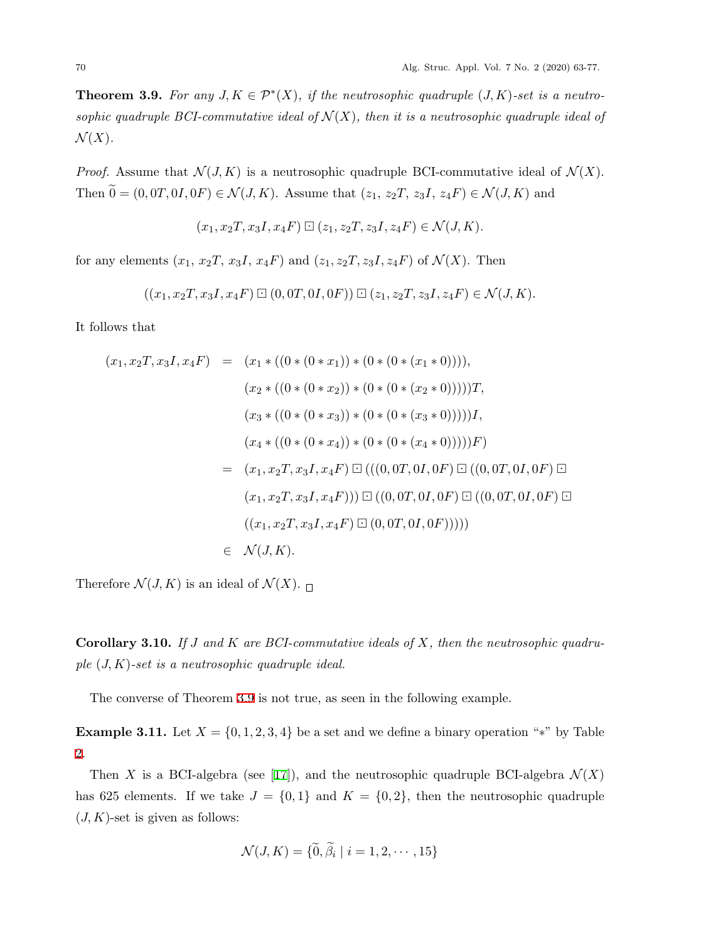<span id="page-7-0"></span>**Theorem 3.9.** For any  $J, K \in \mathcal{P}^*(X)$ , if the neutrosophic quadruple  $(J, K)$ -set is a neutro*sophic quadruple BCI-commutative ideal of*  $\mathcal{N}(X)$ *, then it is a neutrosophic quadruple ideal of*  $\mathcal{N}(X)$ .

*Proof.* Assume that  $\mathcal{N}(J, K)$  is a neutrosophic quadruple BCI-commutative ideal of  $\mathcal{N}(X)$ . Then  $\widetilde{0} = (0, 0T, 0I, 0F) \in \mathcal{N}(J, K)$ . Assume that  $(z_1, z_2T, z_3I, z_4F) \in \mathcal{N}(J, K)$  and

$$
(x_1, x_2T, x_3I, x_4F) \boxdot (z_1, z_2T, z_3I, z_4F) \in \mathcal{N}(J, K).
$$

for any elements  $(x_1, x_2, T, x_3, I, x_4, F)$  and  $(z_1, z_2, T, z_3, I, z_4, F)$  of  $\mathcal{N}(X)$ . Then

$$
((x_1, x_2T, x_3I, x_4F) \boxdot (0, 0T, 0I, 0F)) \boxdot (z_1, z_2T, z_3I, z_4F) \in \mathcal N(J, K).
$$

It follows that

$$
(x_1, x_2T, x_3I, x_4F) = (x_1 * ((0 * (0 * x_1)) * (0 * (0 * (x_1 * 0))))),
$$
  
\n
$$
(x_2 * ((0 * (0 * x_2)) * (0 * (0 * (x_2 * 0))))))T,
$$
  
\n
$$
(x_3 * ((0 * (0 * x_3)) * (0 * (0 * (x_3 * 0))))),
$$
  
\n
$$
(x_4 * ((0 * (0 * x_4)) * (0 * (0 * (x_4 * 0))))))F)
$$
  
\n
$$
= (x_1, x_2T, x_3I, x_4F) \Box (((0, 0T, 0I, 0F) \Box ((0, 0T, 0I, 0F) \Box
$$
  
\n
$$
(x_1, x_2T, x_3I, x_4F)) \Box ((0, 0T, 0I, 0F) \Box ((0, 0T, 0I, 0F) \Box
$$
  
\n
$$
((x_1, x_2T, x_3I, x_4F) \Box (0, 0T, 0I, 0F))))
$$
  
\n
$$
= \mathcal{N}(J, K).
$$

Therefore  $\mathcal{N}(J,K)$  is an ideal of  $\mathcal{N}(X)$ .

**Corollary 3.10.** *If J and K are BCI-commutative ideals of X, then the neutrosophic quadruple* (*J, K*)*-set is a neutrosophic quadruple ideal.*

The converse of Theorem [3.9](#page-7-0) is not true, as seen in the following example.

<span id="page-7-1"></span>**Example 3.11.** Let  $X = \{0, 1, 2, 3, 4\}$  be a set and we define a binary operation "\*" by Table [2.](#page-8-0)

Then *X* is a BCI-algebra (see [[17\]](#page-13-17)), and the neutrosophic quadruple BCI-algebra  $\mathcal{N}(X)$ has 625 elements. If we take  $J = \{0, 1\}$  and  $K = \{0, 2\}$ , then the neutrosophic quadruple  $(J, K)$ -set is given as follows:

$$
\mathcal{N}(J, K) = \{ \tilde{0}, \beta_i \mid i = 1, 2, \cdots, 15 \}
$$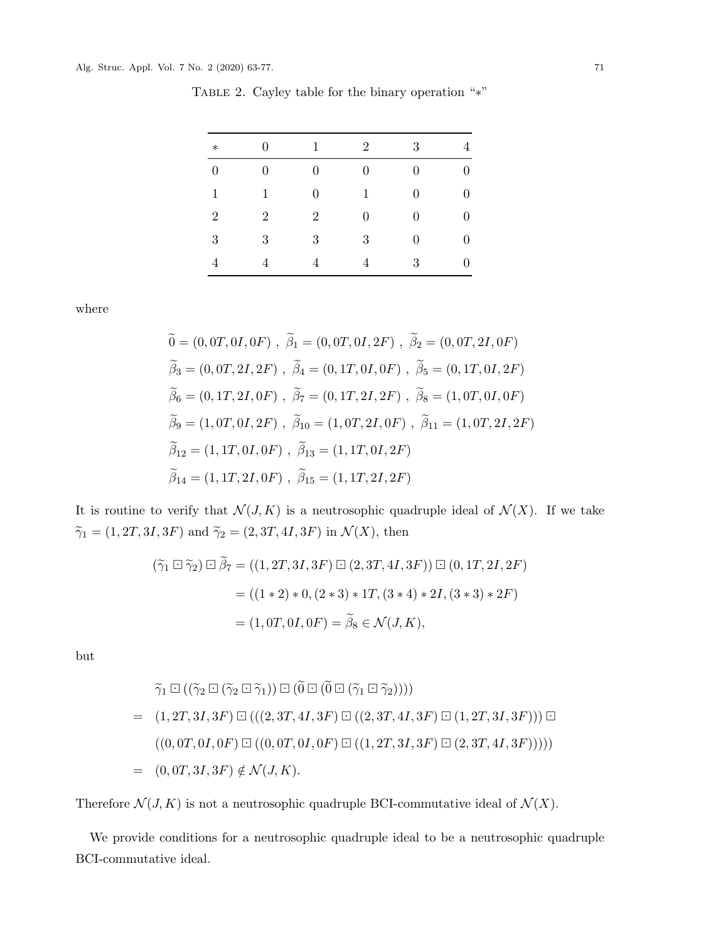| $\ast$           | $\overline{0}$ | 1                | $\overline{2}$   | 3                | 4                |
|------------------|----------------|------------------|------------------|------------------|------------------|
| $\boldsymbol{0}$ | $\overline{0}$ | $\boldsymbol{0}$ | $\boldsymbol{0}$ | $\boldsymbol{0}$ | $\boldsymbol{0}$ |
| $\mathbf{1}$     | 1              | $\boldsymbol{0}$ | $\mathbf{1}$     | $\boldsymbol{0}$ | $\boldsymbol{0}$ |
| $\overline{2}$   | $\overline{2}$ | $\overline{2}$   | $\boldsymbol{0}$ | $\boldsymbol{0}$ | $\boldsymbol{0}$ |
| 3                | 3              | 3                | 3                | $\boldsymbol{0}$ | $\boldsymbol{0}$ |
| $\overline{4}$   | $\overline{4}$ | 4                | 4                | 3                | $\overline{0}$   |

<span id="page-8-0"></span>Table 2. Cayley table for the binary operation "*∗*"

where

$$
\begin{aligned}\n\widetilde{0} &= (0, 0T, 0I, 0F), \ \widetilde{\beta}_1 = (0, 0T, 0I, 2F), \ \widetilde{\beta}_2 = (0, 0T, 2I, 0F) \\
\widetilde{\beta}_3 &= (0, 0T, 2I, 2F), \ \widetilde{\beta}_4 = (0, 1T, 0I, 0F), \ \widetilde{\beta}_5 = (0, 1T, 0I, 2F) \\
\widetilde{\beta}_6 &= (0, 1T, 2I, 0F), \ \widetilde{\beta}_7 = (0, 1T, 2I, 2F), \ \widetilde{\beta}_8 = (1, 0T, 0I, 0F) \\
\widetilde{\beta}_9 &= (1, 0T, 0I, 2F), \ \widetilde{\beta}_{10} = (1, 0T, 2I, 0F), \ \widetilde{\beta}_{11} = (1, 0T, 2I, 2F) \\
\widetilde{\beta}_{12} &= (1, 1T, 0I, 0F), \ \widetilde{\beta}_{13} = (1, 1T, 0I, 2F) \\
\widetilde{\beta}_{14} &= (1, 1T, 2I, 0F), \ \widetilde{\beta}_{15} = (1, 1T, 2I, 2F)\n\end{aligned}
$$

It is routine to verify that  $\mathcal{N}(J, K)$  is a neutrosophic quadruple ideal of  $\mathcal{N}(X)$ . If we take  $\widetilde{\gamma}_1 = (1, 2T, 3I, 3F)$  and  $\widetilde{\gamma}_2 = (2, 3T, 4I, 3F)$  in  $\mathcal{N}(X)$ , then

$$
(\widetilde{\gamma}_1 \boxdot \widetilde{\gamma}_2) \boxdot \widetilde{\beta}_7 = ((1, 2T, 3I, 3F) \boxdot (2, 3T, 4I, 3F)) \boxdot (0, 1T, 2I, 2F)
$$
  
= ((1 \* 2) \* 0, (2 \* 3) \* 1T, (3 \* 4) \* 2I, (3 \* 3) \* 2F)  
= (1, 0T, 0I, 0F) =  $\widetilde{\beta}_8 \in \mathcal{N}(J, K)$ ,

but

$$
\widetilde{\gamma}_1 \boxdot ((\widetilde{\gamma}_2 \boxdot (\widetilde{\gamma}_2 \boxdot \widetilde{\gamma}_1)) \boxdot (\widetilde{0} \boxdot (\widetilde{0} \boxdot (\widetilde{\gamma}_1 \boxdot \widetilde{\gamma}_2))))
$$
\n
$$
= (1, 2T, 3I, 3F) \boxdot ((2, 3T, 4I, 3F) \boxdot ((2, 3T, 4I, 3F) \boxdot ((2, 3T, 4I, 3F) \boxdot (1, 2T, 3I, 3F))) \boxdot
$$
\n
$$
((0, 0T, 0I, 0F) \boxdot ((0, 0T, 0I, 0F) \boxdot ((1, 2T, 3I, 3F) \boxdot (2, 3T, 4I, 3F))))
$$
\n
$$
= (0, 0T, 3I, 3F) \notin \mathcal{N}(J, K).
$$

Therefore  $\mathcal{N}(J, K)$  is not a neutrosophic quadruple BCI-commutative ideal of  $\mathcal{N}(X)$ .

We provide conditions for a neutrosophic quadruple ideal to be a neutrosophic quadruple BCI-commutative ideal.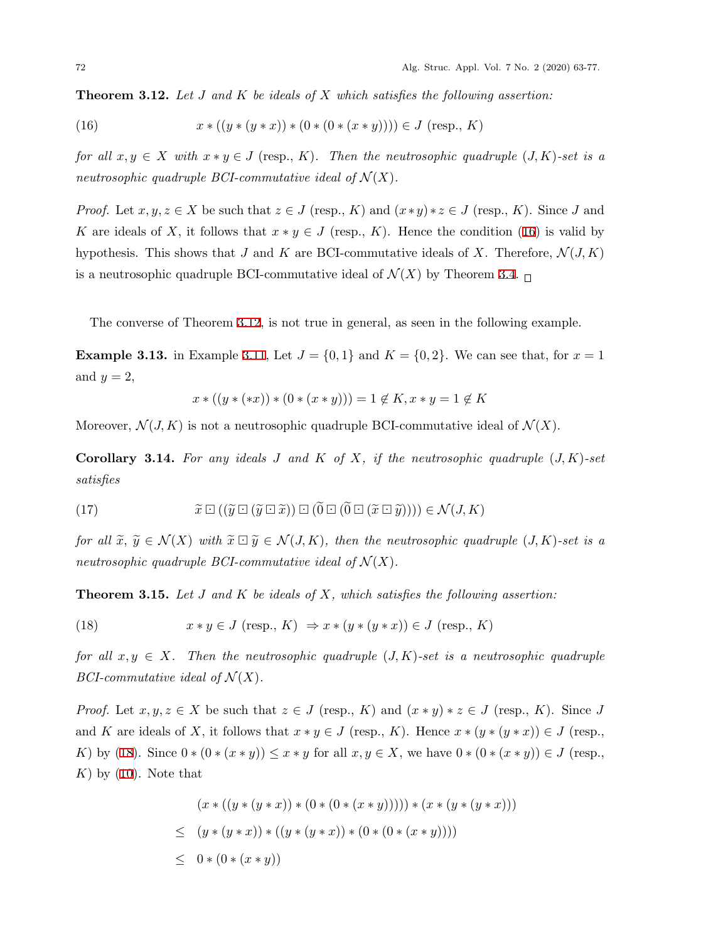<span id="page-9-1"></span><span id="page-9-0"></span>**Theorem 3.12.** *Let J and K be ideals of X which satisfies the following assertion:*

(16) 
$$
x * ((y * (y * x)) * (0 * (0 * (x * y)))) \in J \text{ (resp., } K)
$$

*for all*  $x, y \in X$  *with*  $x * y \in J$  (resp., *K*). Then the neutrosophic quadruple  $(J, K)$ -set is a *neutrosophic quadruple BCI-commutative ideal of*  $\mathcal{N}(X)$ .

*Proof.* Let  $x, y, z \in X$  be such that  $z \in J$  (resp., *K*) and  $(x * y) * z \in J$  (resp., *K*). Since *J* and *K* are ideals of *X*, it follows that  $x * y \in J$  (resp., *K*). Hence the condition ([16\)](#page-9-0) is valid by hypothesis. This shows that *J* and *K* are BCI-commutative ideals of *X*. Therefore,  $\mathcal{N}(J,K)$ is a neutrosophic quadruple BCI-commutative ideal of  $\mathcal{N}(X)$  by Theorem [3.4.](#page-4-1)  $\Box$ 

The converse of Theorem [3.12](#page-9-1), is not true in general, as seen in the following example.

**Example 3.13.** in Example [3.11,](#page-7-1) Let  $J = \{0, 1\}$  and  $K = \{0, 2\}$ . We can see that, for  $x = 1$ and  $y = 2$ ,

$$
x * ((y * (*x)) * (0 * (x * y))) = 1 \notin K, x * y = 1 \notin K
$$

Moreover,  $\mathcal{N}(J,K)$  is not a neutrosophic quadruple BCI-commutative ideal of  $\mathcal{N}(X)$ .

**Corollary 3.14.** For any ideals  $J$  and  $K$  of  $X$ , if the neutrosophic quadruple  $(J, K)$ -set *satisfies*

(17) 
$$
\widetilde{x} \boxdot ((\widetilde{y} \boxdot (\widetilde{y} \boxdot \widetilde{x})) \boxdot (\widetilde{0} \boxdot (\widetilde{0} \boxdot (\widetilde{x} \boxdot \widetilde{y})))) \in \mathcal{N}(J, K)
$$

*for all*  $\tilde{x}, \tilde{y} \in \mathcal{N}(X)$  *with*  $\tilde{x} \square \tilde{y} \in \mathcal{N}(J,K)$ , then the neutrosophic quadruple  $(J,K)$ *-set is a neutrosophic quadruple BCI-commutative ideal of*  $\mathcal{N}(X)$ .

<span id="page-9-3"></span><span id="page-9-2"></span>**Theorem 3.15.** *Let J and K be ideals of X, which satisfies the following assertion:*

(18) 
$$
x * y \in J \text{ (resp., } K) \Rightarrow x * (y * (y * x)) \in J \text{ (resp., } K)
$$

*for all*  $x, y \in X$ *. Then the neutrosophic quadruple*  $(J, K)$ -set is a neutrosophic quadruple *BCI*-commutative ideal of  $\mathcal{N}(X)$ .

*Proof.* Let  $x, y, z \in X$  be such that  $z \in J$  (resp., *K*) and  $(x * y) * z \in J$  (resp., *K*). Since *J* and *K* are ideals of *X*, it follows that  $x * y \in J$  (resp., *K*). Hence  $x * (y * (y * x)) \in J$  (resp., K) by ([18\)](#page-9-2). Since  $0*(0*(x*y)) \le x*y$  for all  $x,y \in X$ , we have  $0*(0*(x*y)) \in J$  (resp.,  $K)$  by  $(10)$  $(10)$ . Note that

$$
(x * ((y * (y * x)) * (0 * (0 * (x * y))))) * (x * (y * (y * x)))
$$
  
\n
$$
\leq (y * (y * x)) * ((y * (y * x)) * (0 * (0 * (x * y))))
$$
  
\n
$$
\leq 0 * (0 * (x * y))
$$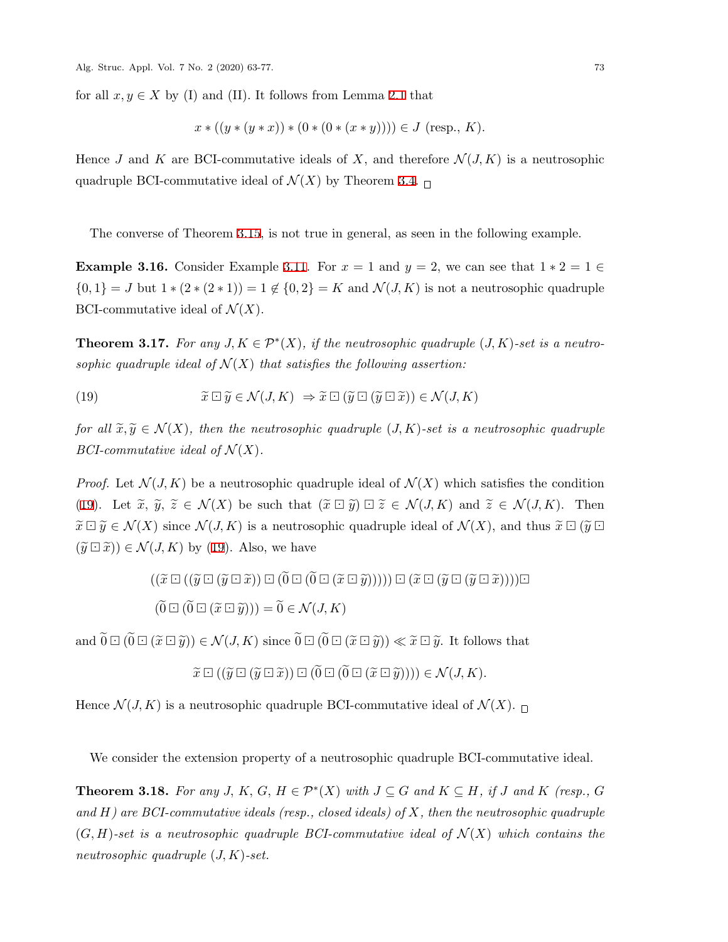for all  $x, y \in X$  by (I) and (II). It follows from Lemma [2.1](#page-3-0) that

$$
x * ((y * (y * x)) * (0 * (0 * (x * y)))) \in J \text{ (resp., } K).
$$

Hence *J* and *K* are BCI-commutative ideals of *X*, and therefore  $\mathcal{N}(J,K)$  is a neutrosophic quadruple BCI-commutative ideal of  $\mathcal{N}(X)$  by Theorem [3.4](#page-4-1).  $\Box$ 

The converse of Theorem [3.15](#page-9-3), is not true in general, as seen in the following example.

**Example 3.16.** Consider Example [3.11.](#page-7-1) For  $x = 1$  and  $y = 2$ , we can see that  $1 * 2 = 1 \in$  $\{0,1\} = J$  but  $1 * (2 * (2 * 1)) = 1 \notin \{0,2\} = K$  and  $\mathcal{N}(J,K)$  is not a neutrosophic quadruple BCI-commutative ideal of  $\mathcal{N}(X)$ .

<span id="page-10-1"></span>**Theorem 3.17.** For any  $J, K \in \mathcal{P}^*(X)$ , if the neutrosophic quadruple  $(J, K)$ -set is a neutro*sophic quadruple ideal of*  $\mathcal{N}(X)$  *that satisfies the following assertion:* 

<span id="page-10-0"></span>(19) 
$$
\widetilde{x} \boxdot \widetilde{y} \in \mathcal{N}(J,K) \Rightarrow \widetilde{x} \boxdot (\widetilde{y} \boxdot (\widetilde{y} \boxdot \widetilde{x})) \in \mathcal{N}(J,K)
$$

*for all*  $\tilde{x}, \tilde{y} \in \mathcal{N}(X)$ , then the neutrosophic quadruple (*J, K*)-set is a neutrosophic quadruple *BCI-commutative ideal of*  $\mathcal{N}(X)$ *.* 

*Proof.* Let  $\mathcal{N}(J,K)$  be a neutrosophic quadruple ideal of  $\mathcal{N}(X)$  which satisfies the condition ([19\)](#page-10-0). Let  $\tilde{x}, \tilde{y}, \tilde{z} \in \mathcal{N}(X)$  be such that  $(\tilde{x} \boxdot \tilde{y}) \boxdot \tilde{z} \in \mathcal{N}(J, K)$  and  $\tilde{z} \in \mathcal{N}(J, K)$ . Then  $\widetilde{x} \boxdot \widetilde{y} \in \mathcal{N}(X)$  since  $\mathcal{N}(J,K)$  is a neutrosophic quadruple ideal of  $\mathcal{N}(X)$ , and thus  $\widetilde{x} \boxdot (\widetilde{y} \boxdot)$  $(\widetilde{y} \boxdot \widetilde{x})) \in \mathcal{N}(J,K)$  by ([19\)](#page-10-0). Also, we have

$$
((\widetilde{x}\boxdot((\widetilde{y}\boxdot(\widetilde{y}\boxdot(\widetilde{x})))\boxdot(\widetilde{0}\boxdot(\widetilde{x}\boxdot(\widetilde{y}))))))\boxdot(\widetilde{x}\boxdot(\widetilde{y}\boxdot(\widetilde{y}\boxdot(\widetilde{x})))))\boxdot(\widetilde{0}\boxdot(\widetilde{0}\boxdot(\widetilde{x}\boxdot(\widetilde{y})))))\boxdot(\widetilde{x}\boxdot(\widetilde{y}\boxdot(\widetilde{y}\boxdot(\widetilde{x}))))\boxdot(\widetilde{0}\boxdot(\widetilde{x}\boxdot(\widetilde{y})))))\cong
$$

and  $\widetilde{0} \boxdot (\widetilde{0} \boxdot (\widetilde{x} \boxdot \widetilde{y})) \in \mathcal{N}(J, K)$  since  $\widetilde{0} \boxdot (\widetilde{0} \boxdot (\widetilde{x} \boxdot \widetilde{y})) \ll \widetilde{x} \boxdot \widetilde{y}$ . It follows that

$$
\widetilde{x} \boxdot ((\widetilde{y} \boxdot (\widetilde{y} \boxdot \widetilde{x})) \boxdot ((0 \boxdot ((0 \boxdot (\widetilde{x} \boxdot \widetilde{y})))) \in \mathcal{N}(J, K).
$$

Hence  $\mathcal{N}(J,K)$  is a neutrosophic quadruple BCI-commutative ideal of  $\mathcal{N}(X)$ .

We consider the extension property of a neutrosophic quadruple BCI-commutative ideal.

**Theorem 3.18.** For any *J*,  $K$ ,  $G$ ,  $H \in \mathcal{P}^*(X)$  with  $J \subseteq G$  and  $K \subseteq H$ , if *J* and  $K$  (resp.,  $G$ *and H) are BCI-commutative ideals (resp., closed ideals) of X, then the neutrosophic quadruple*  $(G, H)$ -set is a neutrosophic quadruple BCI-commutative ideal of  $\mathcal{N}(X)$  which contains the *neutrosophic quadruple* (*J, K*)*-set.*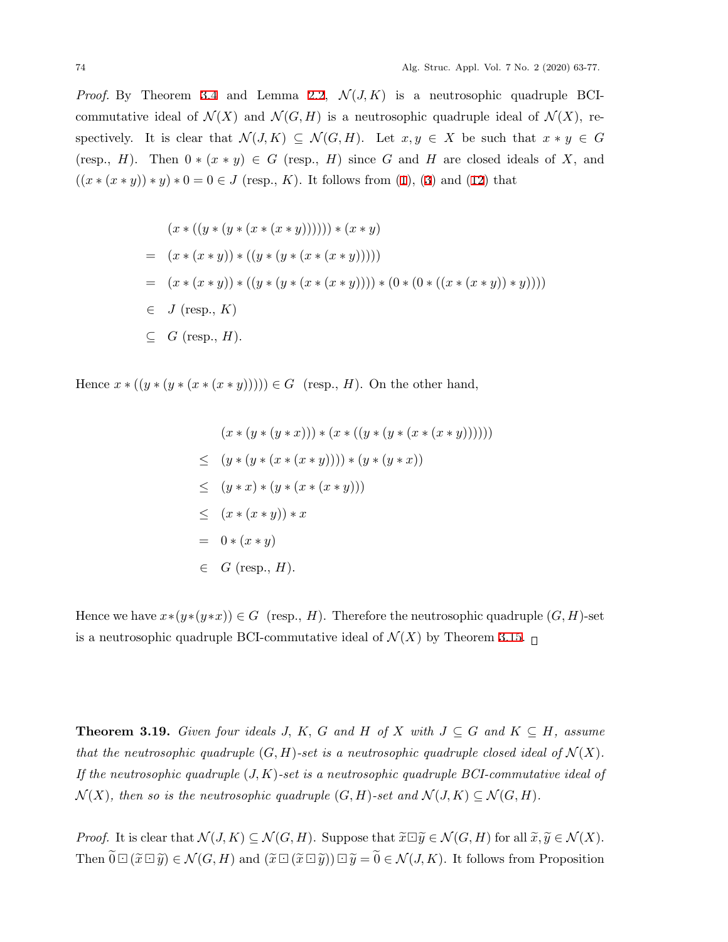*Proof.* By Theorem [3.4](#page-4-1) and Lemma [2.2](#page-3-1),  $\mathcal{N}(J,K)$  is a neutrosophic quadruple BCIcommutative ideal of  $\mathcal{N}(X)$  and  $\mathcal{N}(G,H)$  is a neutrosophic quadruple ideal of  $\mathcal{N}(X)$ , respectively. It is clear that  $\mathcal{N}(J,K) \subseteq \mathcal{N}(G,H)$ . Let  $x, y \in X$  be such that  $x * y \in G$ (resp., *H*). Then  $0 * (x * y) \in G$  (resp., *H*) since *G* and *H* are closed ideals of *X*, and  $((x * (x * y)) * y) * 0 = 0 \in J$  (resp., K). It follows from ([1](#page-1-0)), [\(3\)](#page-1-0) and [\(12](#page-2-2)) that

$$
(x * ((y * (y * (x * (x * y)))))) * (x * y)
$$
  
= 
$$
(x * (x * y)) * ((y * (y * (x * (x * y))))))
$$
  
= 
$$
(x * (x * y)) * ((y * (y * (x * (x * y)))) * (0 * (0 * ((x * (x * y)) * y))))
$$
  

$$
\in J (resp., K)
$$
  

$$
\subseteq G (resp., H).
$$

Hence  $x * ((y * (y * (x * (x * y)))) ) ∈ G$  (resp., *H*). On the other hand,

$$
(x * (y * (y * x))) * (x * ((y * (y * (x * (x * y))))))
$$
  
\n
$$
\leq (y * (y * (x * (x * y)))) * (y * (y * x))
$$
  
\n
$$
\leq (y * x) * (y * (x * (x * y)))
$$
  
\n
$$
\leq (x * (x * y)) * x
$$
  
\n
$$
= 0 * (x * y)
$$
  
\n
$$
\in G \text{ (resp., } H).
$$

Hence we have  $x*(y*(y*x)) \in G$  (resp., *H*). Therefore the neutrosophic quadruple  $(G, H)$ -set is a neutrosophic quadruple BCI-commutative ideal of  $\mathcal{N}(X)$  by Theorem [3.15](#page-9-3).  $\Box$ 

**Theorem 3.19.** *Given four ideals J, K, G and H of X with*  $J \subseteq G$  *and*  $K \subseteq H$ *, assume that the neutrosophic quadruple*  $(G, H)$ -set is a neutrosophic quadruple closed ideal of  $\mathcal{N}(X)$ . *If the neutrosophic quadruple* (*J, K*)*-set is a neutrosophic quadruple BCI-commutative ideal of*  $\mathcal{N}(X)$ , then so is the neutrosophic quadruple  $(G, H)$ -set and  $\mathcal{N}(J, K) \subseteq \mathcal{N}(G, H)$ .

*Proof.* It is clear that  $\mathcal{N}(J, K) \subseteq \mathcal{N}(G, H)$ . Suppose that  $\widetilde{x} \Box \widetilde{y} \in \mathcal{N}(G, H)$  for all  $\widetilde{x}, \widetilde{y} \in \mathcal{N}(X)$ . Then  $\widetilde{0} \boxdot (\widetilde{x} \boxdot \widetilde{y}) \in \mathcal{N}(G, H)$  and  $(\widetilde{x} \boxdot (\widetilde{x} \boxdot \widetilde{y})) \boxdot \widetilde{y} = \widetilde{0} \in \mathcal{N}(J, K)$ . It follows from Proposition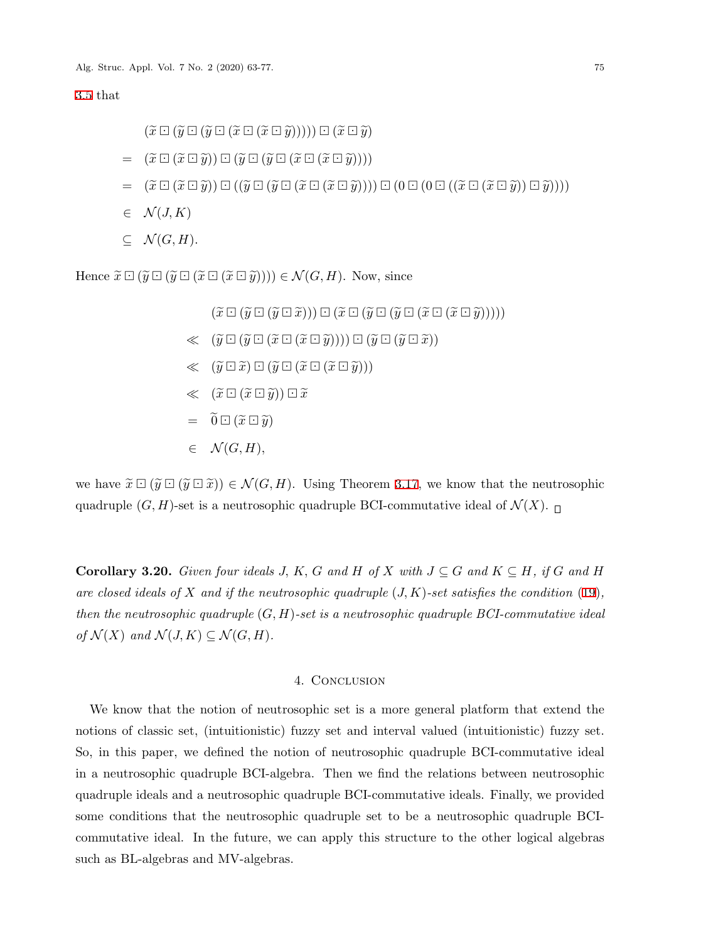[3.5](#page-5-1) that

 $(\widetilde{x}\boxdot(\widetilde{y}\boxdot(\widetilde{y}\boxdot(\widetilde{x}\boxdot(\widetilde{x}\boxdot(\widetilde{y}))))\boxdot(\widetilde{x}\boxdot(\widetilde{y})))$  $= (\tilde{x} \boxdot (\tilde{x} \boxdot \tilde{y})) \boxdot (\tilde{y} \boxdot (\tilde{y} \boxdot (\tilde{x} \boxdot (\tilde{x} \boxdot \tilde{y})))$  $= (\tilde{x} \boxdot (\tilde{x} \boxdot \tilde{y})) \boxdot ((\tilde{y} \boxdot (\tilde{x} \boxdot (\tilde{x} \boxdot \tilde{y}))) \boxdot ((0 \boxdot ((\tilde{x} \boxdot (\tilde{x} \boxdot \tilde{y})))$  $∈$   $N(J, K)$ 

 $subseteq$  *N*(*G*, *H*).

Hence  $\widetilde{x} \boxdot (\widetilde{y} \boxdot (\widetilde{x} \boxdot (\widetilde{x} \boxdot \widetilde{y}))) \in \mathcal{N}(G, H)$ . Now, since

 $(\widetilde{x}\boxdot(\widetilde{y}\boxdot(\widetilde{y}\boxdot(\widetilde{x}\boxdot)))\boxdot(\widetilde{x}\boxdot(\widetilde{y}\boxdot(\widetilde{y}\boxdot(\widetilde{x}\boxdot(\widetilde{x}\boxdot(\widetilde{y}))))))$  $\ll$  ( $\widetilde{y} \boxdot (\widetilde{y} \boxdot (\widetilde{x} \boxdot (\widetilde{x} \boxdot \widetilde{y}))) \boxdot (\widetilde{y} \boxdot (\widetilde{y} \boxdot \widetilde{x}))$  $\ll$  ( $\widetilde{y} \boxdot \widetilde{x}$ )  $\Box$  ( $\widetilde{y} \boxdot (\widetilde{x} \boxdot (\widetilde{x} \boxdot \widetilde{y})))$  $\ll$   $(\widetilde{x} \boxdot (\widetilde{x} \boxdot \widetilde{y})) \boxdot \widetilde{x}$  $= \widetilde{0} \boxdot (\widetilde{x} \boxdot \widetilde{y})$  $∈$   $\mathcal{N}(G, H)$ ,

we have  $\tilde{x} \boxdot (\tilde{y} \boxdot (\tilde{y} \boxdot \tilde{x})) \in \mathcal{N}(G, H)$ . Using Theorem [3.17,](#page-10-1) we know that the neutrosophic quadruple  $(G, H)$ -set is a neutrosophic quadruple BCI-commutative ideal of  $\mathcal{N}(X)$ .

**Corollary 3.20.** *Given four ideals J, K, G* and *H* of *X* with  $J \subseteq G$  and  $K \subseteq H$ *, if G* and *H are closed ideals of X and if the neutrosophic quadruple* (*J, K*)*-set satisfies the condition* [\(19\)](#page-10-0)*, then the neutrosophic quadruple* (*G, H*)*-set is a neutrosophic quadruple BCI-commutative ideal*  $of \mathcal{N}(X)$  *and*  $\mathcal{N}(J,K) \subseteq \mathcal{N}(G,H)$ *.* 

## 4. CONCLUSION

We know that the notion of neutrosophic set is a more general platform that extend the notions of classic set, (intuitionistic) fuzzy set and interval valued (intuitionistic) fuzzy set. So, in this paper, we defined the notion of neutrosophic quadruple BCI-commutative ideal in a neutrosophic quadruple BCI-algebra. Then we find the relations between neutrosophic quadruple ideals and a neutrosophic quadruple BCI-commutative ideals. Finally, we provided some conditions that the neutrosophic quadruple set to be a neutrosophic quadruple BCIcommutative ideal. In the future, we can apply this structure to the other logical algebras such as BL-algebras and MV-algebras.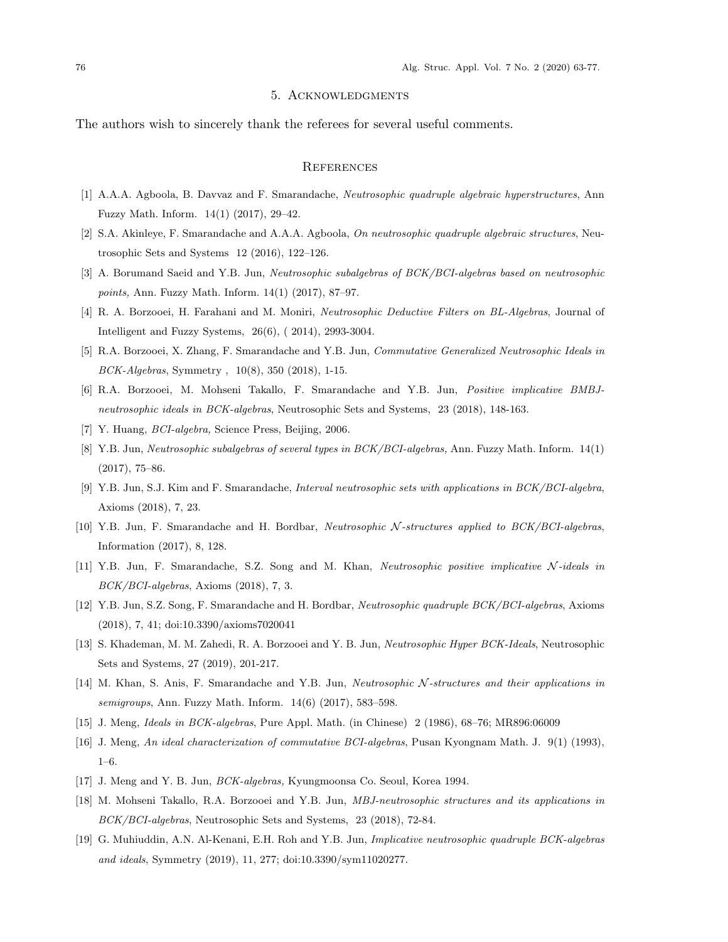#### 5. Acknowledgments

The authors wish to sincerely thank the referees for several useful comments.

#### **REFERENCES**

- <span id="page-13-11"></span>[1] A.A.A. Agboola, B. Davvaz and F. Smarandache, *Neutrosophic quadruple algebraic hyperstructures*, Ann Fuzzy Math. Inform. 14(1) (2017), 29–42.
- <span id="page-13-12"></span>[2] S.A. Akinleye, F. Smarandache and A.A.A. Agboola, *On neutrosophic quadruple algebraic structures*, Neutrosophic Sets and Systems 12 (2016), 122–126.
- <span id="page-13-0"></span>[3] A. Borumand Saeid and Y.B. Jun, *Neutrosophic subalgebras of BCK/BCI-algebras based on neutrosophic points,* Ann. Fuzzy Math. Inform. 14(1) (2017), 87–97.
- <span id="page-13-1"></span>[4] R. A. Borzooei, H. Farahani and M. Moniri, *Neutrosophic Deductive Filters on BL-Algebras*, Journal of Intelligent and Fuzzy Systems, 26(6), ( 2014), 2993-3004.
- <span id="page-13-2"></span>[5] R.A. Borzooei, X. Zhang, F. Smarandache and Y.B. Jun, *Commutative Generalized Neutrosophic Ideals in BCK-Algebras*, Symmetry , 10(8), 350 (2018), 1-15.
- <span id="page-13-3"></span>[6] R.A. Borzooei, M. Mohseni Takallo, F. Smarandache and Y.B. Jun, *Positive implicative BMBJneutrosophic ideals in BCK-algebras*, Neutrosophic Sets and Systems, 23 (2018), 148-163.
- <span id="page-13-15"></span>[7] Y. Huang, *BCI-algebra,* Science Press, Beijing, 2006.
- <span id="page-13-4"></span>[8] Y.B. Jun, *Neutrosophic subalgebras of several types in BCK/BCI-algebras,* Ann. Fuzzy Math. Inform. 14(1) (2017), 75–86.
- <span id="page-13-5"></span>[9] Y.B. Jun, S.J. Kim and F. Smarandache, *Interval neutrosophic sets with applications in BCK/BCI-algebra*, Axioms (2018), 7, 23.
- <span id="page-13-6"></span>[10] Y.B. Jun, F. Smarandache and H. Bordbar, *Neutrosophic N -structures applied to BCK/BCI-algebras*, Information (2017), 8, 128.
- <span id="page-13-7"></span>[11] Y.B. Jun, F. Smarandache, S.Z. Song and M. Khan, *Neutrosophic positive implicative N -ideals in BCK/BCI-algebras*, Axioms (2018), 7, 3.
- <span id="page-13-13"></span>[12] Y.B. Jun, S.Z. Song, F. Smarandache and H. Bordbar, *Neutrosophic quadruple BCK/BCI-algebras*, Axioms (2018), 7, 41; doi:10.3390/axioms7020041
- <span id="page-13-8"></span>[13] S. Khademan, M. M. Zahedi, R. A. Borzooei and Y. B. Jun, *Neutrosophic Hyper BCK-Ideals*, Neutrosophic Sets and Systems, 27 (2019), 201-217.
- <span id="page-13-9"></span>[14] M. Khan, S. Anis, F. Smarandache and Y.B. Jun, *Neutrosophic N -structures and their applications in semigroups*, Ann. Fuzzy Math. Inform. 14(6) (2017), 583–598.
- <span id="page-13-18"></span>[15] J. Meng, *Ideals in BCK-algebras*, Pure Appl. Math. (in Chinese) 2 (1986), 68–76; MR896:06009
- <span id="page-13-16"></span>[16] J. Meng, *An ideal characterization of commutative BCI-algebras*, Pusan Kyongnam Math. J. 9(1) (1993), 1–6.
- <span id="page-13-17"></span>[17] J. Meng and Y. B. Jun, *BCK-algebras,* Kyungmoonsa Co. Seoul, Korea 1994.
- <span id="page-13-10"></span>[18] M. Mohseni Takallo, R.A. Borzooei and Y.B. Jun, *MBJ-neutrosophic structures and its applications in BCK/BCI-algebras*, Neutrosophic Sets and Systems, 23 (2018), 72-84.
- <span id="page-13-14"></span>[19] G. Muhiuddin, A.N. Al-Kenani, E.H. Roh and Y.B. Jun, *Implicative neutrosophic quadruple BCK-algebras and ideals*, Symmetry (2019), 11, 277; doi:10.3390/sym11020277.